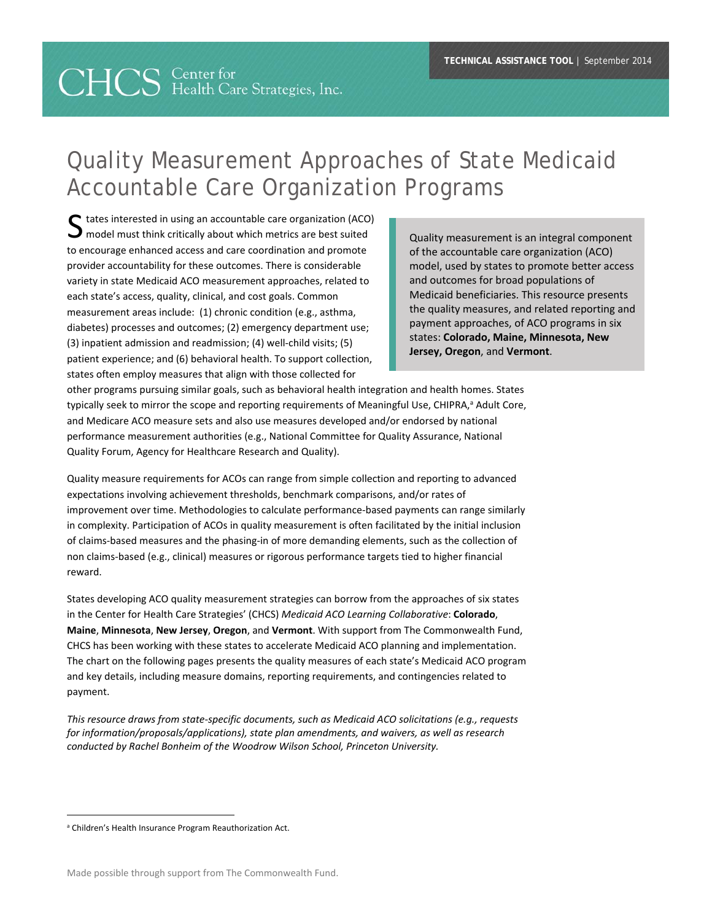# **CHCS** Center for<br>
Health Care Strategies, Inc.

## Quality Measurement Approaches of State Medicaid Accountable Care Organization Programs

S tates interested in using an accountable care organization (ACO)<br>
model must think critically about which metrics are best suited<br>
Quality measurement is an integral component  $\Box$  model must think critically about which metrics are best suited to encourage enhanced access and care coordination and promote provider accountability for these outcomes. There is considerable variety in state Medicaid ACO measurement approaches, related to each state's access, quality, clinical, and cost goals. Common measurement areas include: (1) chronic condition (e.g., asthma, diabetes) processes and outcomes; (2) emergency department use; (3) inpatient admission and readmission; (4) well‐child visits; (5) patient experience; and (6) behavioral health. To support collection, states often employ measures that align with those collected for

of the accountable care organization (ACO) model, used by states to promote better access and outcomes for broad populations of Medicaid beneficiaries. This resource presents the quality measures, and related reporting and payment approaches, of ACO programs in six states: **Colorado, Maine, Minnesota, New Jersey, Oregon**, and **Vermont**.

other programs pursuing similar goals, such as behavioral health integration and health homes. States typically seek to mirror the scope and reporting requirements of Meaningful Use, CHIPRA,<sup>a</sup> Adult Core, and Medicare ACO measure sets and also use measures developed and/or endorsed by national performance measurement authorities (e.g., National Committee for Quality Assurance, National Quality Forum, Agency for Healthcare Research and Quality).

Quality measure requirements for ACOs can range from simple collection and reporting to advanced expectations involving achievement thresholds, benchmark comparisons, and/or rates of improvement over time. Methodologies to calculate performance‐based payments can range similarly in complexity. Participation of ACOs in quality measurement is often facilitated by the initial inclusion of claims‐based measures and the phasing‐in of more demanding elements, such as the collection of non claims‐based (e.g., clinical) measures or rigorous performance targets tied to higher financial reward.

States developing ACO quality measurement strategies can borrow from the approaches of six states in the Center for Health Care Strategies' (CHCS) *Medicaid ACO Learning Collaborative*: **Colorado**, **Maine**, **Minnesota**, **New Jersey**, **Oregon**, and **Vermont**. With support from The Commonwealth Fund, CHCS has been working with these states to accelerate Medicaid ACO planning and implementation. The chart on the following pages presents the quality measures of each state's Medicaid ACO program and key details, including measure domains, reporting requirements, and contingencies related to payment.

*This resource draws from state‐specific documents, such as Medicaid ACO solicitations (e.g., requests for information/proposals/applications), state plan amendments, and waivers, as well as research conducted by Rachel Bonheim of the Woodrow Wilson School, Princeton University.* 

<sup>&</sup>lt;sup>a</sup> Children's Health Insurance Program Reauthorization Act.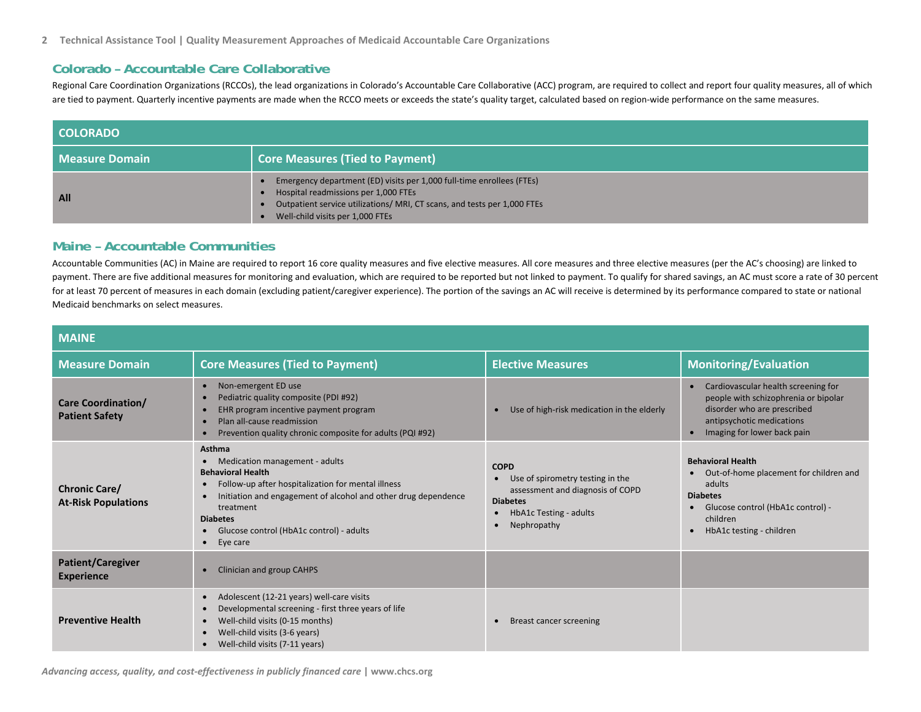#### **Colorado – Accountable Care Collaborative**

Regional Care Coordination Organizations (RCCOs), the lead organizations in Colorado's Accountable Care Collaborative (ACC) program, are required to collect and report four quality measures, all of which are tied to payment. Quarterly incentive payments are made when the RCCO meets or exceeds the state's quality target, calculated based on region‐wide performance on the same measures.

| <b>COLORADO</b> |                                                                                                                                                                                                                               |
|-----------------|-------------------------------------------------------------------------------------------------------------------------------------------------------------------------------------------------------------------------------|
| Measure Domain  | <b>Core Measures (Tied to Payment)</b>                                                                                                                                                                                        |
| All             | Emergency department (ED) visits per 1,000 full-time enrollees (FTEs)<br>Hospital readmissions per 1,000 FTEs<br>Outpatient service utilizations/ MRI, CT scans, and tests per 1,000 FTEs<br>Well-child visits per 1,000 FTEs |

#### **Maine – Accountable Communities**

Accountable Communities (AC) in Maine are required to report 16 core quality measures and five elective measures. All core measures and three elective measures (per the AC's choosing) are linked to payment. There are five additional measures for monitoring and evaluation, which are required to be reported but not linked to payment. To qualify for shared savings, an AC must score a rate of 30 percent for at least 70 percent of measures in each domain (excluding patient/caregiver experience). The portion of the savings an AC will receive is determined by its performance compared to state or national Medicaid benchmarks on select measures.

| <b>MAINE</b>                                       |                                                                                                                                                                                                                                                                                                          |                                                                                                                                                                           |                                                                                                                                                                                                  |
|----------------------------------------------------|----------------------------------------------------------------------------------------------------------------------------------------------------------------------------------------------------------------------------------------------------------------------------------------------------------|---------------------------------------------------------------------------------------------------------------------------------------------------------------------------|--------------------------------------------------------------------------------------------------------------------------------------------------------------------------------------------------|
| <b>Measure Domain</b>                              | <b>Core Measures (Tied to Payment)</b>                                                                                                                                                                                                                                                                   | <b>Elective Measures</b>                                                                                                                                                  | <b>Monitoring/Evaluation</b>                                                                                                                                                                     |
| <b>Care Coordination/</b><br><b>Patient Safety</b> | Non-emergent ED use<br>Pediatric quality composite (PDI #92)<br>EHR program incentive payment program<br>Plan all-cause readmission<br>Prevention quality chronic composite for adults (PQI #92)                                                                                                         | Use of high-risk medication in the elderly<br>$\bullet$                                                                                                                   | Cardiovascular health screening for<br>$\bullet$<br>people with schizophrenia or bipolar<br>disorder who are prescribed<br>antipsychotic medications<br>Imaging for lower back pain<br>$\bullet$ |
| <b>Chronic Care/</b><br><b>At-Risk Populations</b> | <b>Asthma</b><br>Medication management - adults<br><b>Behavioral Health</b><br>Follow-up after hospitalization for mental illness<br>Initiation and engagement of alcohol and other drug dependence<br>treatment<br><b>Diabetes</b><br>Glucose control (HbA1c control) - adults<br>$\bullet$<br>Eye care | <b>COPD</b><br>Use of spirometry testing in the<br>$\bullet$<br>assessment and diagnosis of COPD<br><b>Diabetes</b><br>HbA1c Testing - adults<br>$\bullet$<br>Nephropathy | <b>Behavioral Health</b><br>Out-of-home placement for children and<br>adults<br><b>Diabetes</b><br>Glucose control (HbA1c control) -<br>children<br>HbA1c testing - children<br>$\bullet$        |
| <b>Patient/Caregiver</b><br><b>Experience</b>      | Clinician and group CAHPS                                                                                                                                                                                                                                                                                |                                                                                                                                                                           |                                                                                                                                                                                                  |
| <b>Preventive Health</b>                           | Adolescent (12-21 years) well-care visits<br>Developmental screening - first three years of life<br>Well-child visits (0-15 months)<br>Well-child visits (3-6 years)<br>Well-child visits (7-11 years)                                                                                                   | Breast cancer screening                                                                                                                                                   |                                                                                                                                                                                                  |

*Advancing access, quality, and cost‐effectiveness in publicly financed care* **| www.chcs.org**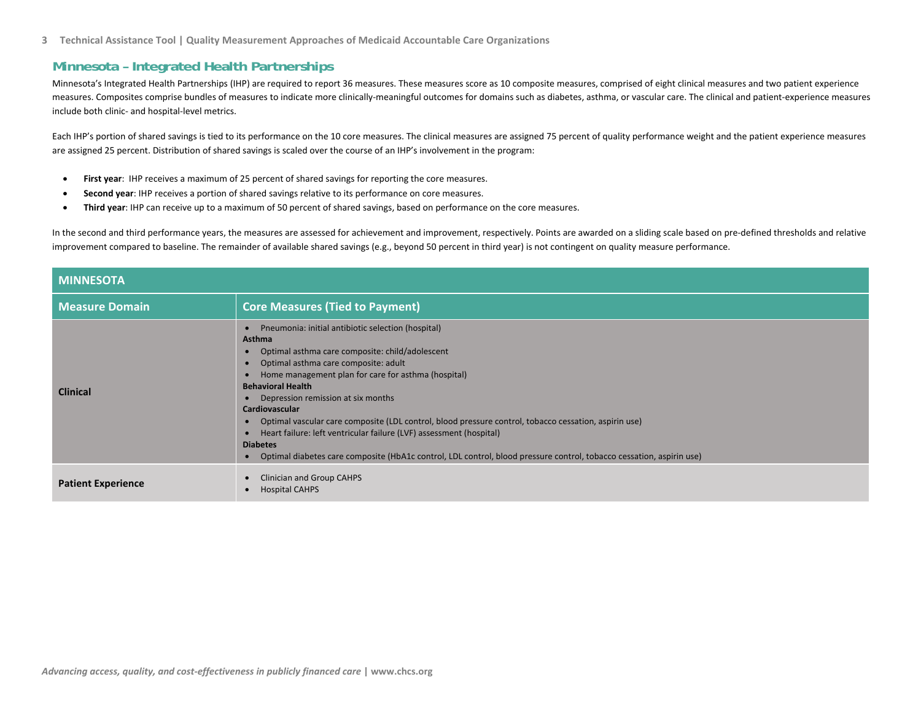#### **Minnesota – Integrated Health Partnerships**

Minnesota's Integrated Health Partnerships (IHP) are required to report 36 measures. These measures score as 10 composite measures, comprised of eight clinical measures and two patient experience measures. Composites comprise bundles of measures to indicate more clinically‐meaningful outcomes for domains such as diabetes, asthma, or vascular care. The clinical and patient‐experience measures include both clinic‐ and hospital‐level metrics.

Each IHP's portion of shared savings is tied to its performance on the 10 core measures. The clinical measures are assigned 75 percent of quality performance weight and the patient experience measures are assigned 25 percent. Distribution of shared savings is scaled over the course of an IHP's involvement in the program:

- $\bullet$ **First year**: IHP receives <sup>a</sup> maximum of 25 percent of shared savings for reporting the core measures.
- . **Second year**: IHP receives <sup>a</sup> portion of shared savings relative to its performance on core measures.
- $\bullet$ **Third year**: IHP can receive up to <sup>a</sup> maximum of 50 percent of shared savings, based on performance on the core measures.

In the second and third performance years, the measures are assessed for achievement and improvement, respectively. Points are awarded on a sliding scale based on pre‐defined thresholds and relative improvement compared to baseline. The remainder of available shared savings (e.g., beyond 50 percent in third year) is not contingent on quality measure performance.

| <b>MINNESOTA</b>          |                                                                                                                                                                                                                                                                                                                                                                                                                                                                                                                                                                                                                                             |  |  |
|---------------------------|---------------------------------------------------------------------------------------------------------------------------------------------------------------------------------------------------------------------------------------------------------------------------------------------------------------------------------------------------------------------------------------------------------------------------------------------------------------------------------------------------------------------------------------------------------------------------------------------------------------------------------------------|--|--|
| <b>Measure Domain</b>     | <b>Core Measures (Tied to Payment)</b>                                                                                                                                                                                                                                                                                                                                                                                                                                                                                                                                                                                                      |  |  |
| <b>Clinical</b>           | Pneumonia: initial antibiotic selection (hospital)<br><b>Asthma</b><br>Optimal asthma care composite: child/adolescent<br>Optimal asthma care composite: adult<br>Home management plan for care for asthma (hospital)<br><b>Behavioral Health</b><br>Depression remission at six months<br><b>Cardiovascular</b><br>Optimal vascular care composite (LDL control, blood pressure control, tobacco cessation, aspirin use)<br>Heart failure: left ventricular failure (LVF) assessment (hospital)<br><b>Diabetes</b><br>Optimal diabetes care composite (HbA1c control, LDL control, blood pressure control, tobacco cessation, aspirin use) |  |  |
| <b>Patient Experience</b> | Clinician and Group CAHPS<br><b>Hospital CAHPS</b>                                                                                                                                                                                                                                                                                                                                                                                                                                                                                                                                                                                          |  |  |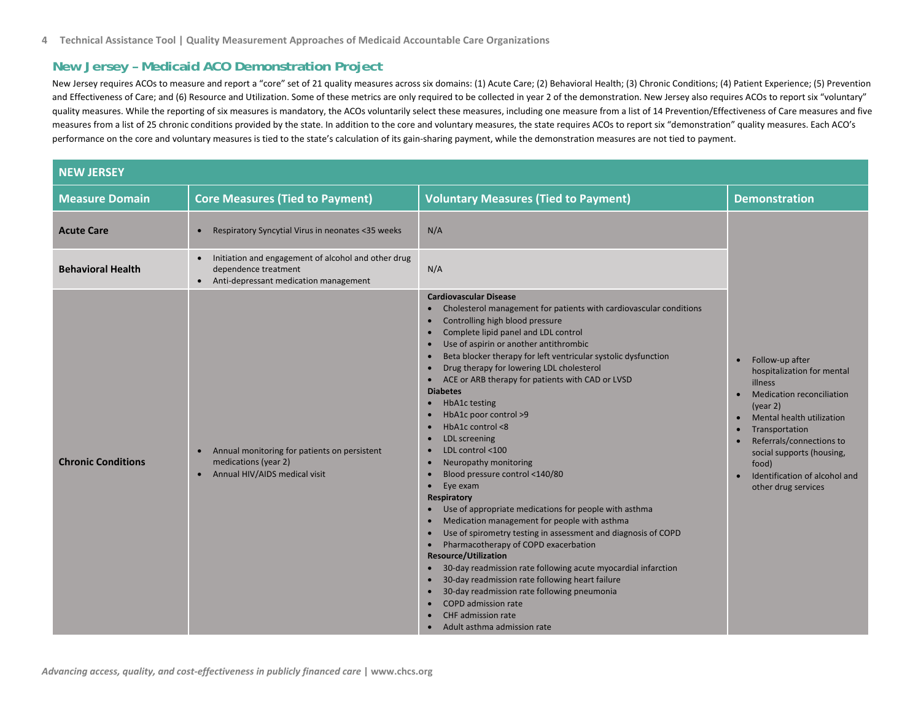### **New Jersey – Medicaid ACO Demonstration Project**

New Jersey requires ACOs to measure and report <sup>a</sup> "core" set of 21 quality measures across six domains: (1) Acute Care; (2) Behavioral Health; (3) Chronic Conditions; (4) Patient Experience; (5) Prevention and Effectiveness of Care; and (6) Resource and Utilization. Some of these metrics are only required to be collected in year 2 of the demonstration. New Jersey also requires ACOs to report six "voluntary" quality measures. While the reporting of six measures is mandatory, the ACOs voluntarily select these measures, including one measure from a list of 14 Prevention/Effectiveness of Care measures and five measures from <sup>a</sup> list of 25 chronic conditions provided by the state. In addition to the core and voluntary measures, the state requires ACOs to report six "demonstration" quality measures. Each ACO's performance on the core and voluntary measures is tied to the state's calculation of its gain‐sharing payment, while the demonstration measures are not tied to payment.

| <b>NEW JERSEY</b>         |                                                                                                                                   |                                                                                                                                                                                                                                                                                                                                                                                                                                                                                                                                                                                                                                                                                                                                                                                                                                                                                                                                                                                                                                                                                                                                                                                                                                                                                          |                                                                                                                                                                                                                                                                                   |
|---------------------------|-----------------------------------------------------------------------------------------------------------------------------------|------------------------------------------------------------------------------------------------------------------------------------------------------------------------------------------------------------------------------------------------------------------------------------------------------------------------------------------------------------------------------------------------------------------------------------------------------------------------------------------------------------------------------------------------------------------------------------------------------------------------------------------------------------------------------------------------------------------------------------------------------------------------------------------------------------------------------------------------------------------------------------------------------------------------------------------------------------------------------------------------------------------------------------------------------------------------------------------------------------------------------------------------------------------------------------------------------------------------------------------------------------------------------------------|-----------------------------------------------------------------------------------------------------------------------------------------------------------------------------------------------------------------------------------------------------------------------------------|
| <b>Measure Domain</b>     | <b>Core Measures (Tied to Payment)</b>                                                                                            | <b>Voluntary Measures (Tied to Payment)</b>                                                                                                                                                                                                                                                                                                                                                                                                                                                                                                                                                                                                                                                                                                                                                                                                                                                                                                                                                                                                                                                                                                                                                                                                                                              | <b>Demonstration</b>                                                                                                                                                                                                                                                              |
| <b>Acute Care</b>         | Respiratory Syncytial Virus in neonates <35 weeks<br>$\bullet$                                                                    | N/A                                                                                                                                                                                                                                                                                                                                                                                                                                                                                                                                                                                                                                                                                                                                                                                                                                                                                                                                                                                                                                                                                                                                                                                                                                                                                      |                                                                                                                                                                                                                                                                                   |
| <b>Behavioral Health</b>  | Initiation and engagement of alcohol and other drug<br>$\bullet$<br>dependence treatment<br>Anti-depressant medication management | N/A                                                                                                                                                                                                                                                                                                                                                                                                                                                                                                                                                                                                                                                                                                                                                                                                                                                                                                                                                                                                                                                                                                                                                                                                                                                                                      |                                                                                                                                                                                                                                                                                   |
| <b>Chronic Conditions</b> | Annual monitoring for patients on persistent<br>$\bullet$<br>medications (year 2)<br>Annual HIV/AIDS medical visit<br>$\bullet$   | <b>Cardiovascular Disease</b><br>Cholesterol management for patients with cardiovascular conditions<br>$\bullet$<br>Controlling high blood pressure<br>$\bullet$<br>Complete lipid panel and LDL control<br>$\bullet$<br>Use of aspirin or another antithrombic<br>Beta blocker therapy for left ventricular systolic dysfunction<br>Drug therapy for lowering LDL cholesterol<br>$\bullet$<br>ACE or ARB therapy for patients with CAD or LVSD<br><b>Diabetes</b><br><b>HbA1c</b> testing<br>HbA1c poor control >9<br>HbA1c control <8<br>$\bullet$<br>LDL screening<br>LDL control <100<br>$\bullet$<br>Neuropathy monitoring<br>Blood pressure control <140/80<br>$\bullet$<br>Eye exam<br>$\bullet$<br>Respiratory<br>Use of appropriate medications for people with asthma<br>Medication management for people with asthma<br>Use of spirometry testing in assessment and diagnosis of COPD<br>Pharmacotherapy of COPD exacerbation<br>$\bullet$<br><b>Resource/Utilization</b><br>30-day readmission rate following acute myocardial infarction<br>$\bullet$<br>30-day readmission rate following heart failure<br>$\bullet$<br>30-day readmission rate following pneumonia<br><b>COPD</b> admission rate<br>$\bullet$<br><b>CHF</b> admission rate<br>Adult asthma admission rate | Follow-up after<br>hospitalization for mental<br>illness<br><b>Medication reconciliation</b><br>(year 2)<br>Mental health utilization<br>Transportation<br>Referrals/connections to<br>social supports (housing,<br>food)<br>Identification of alcohol and<br>other drug services |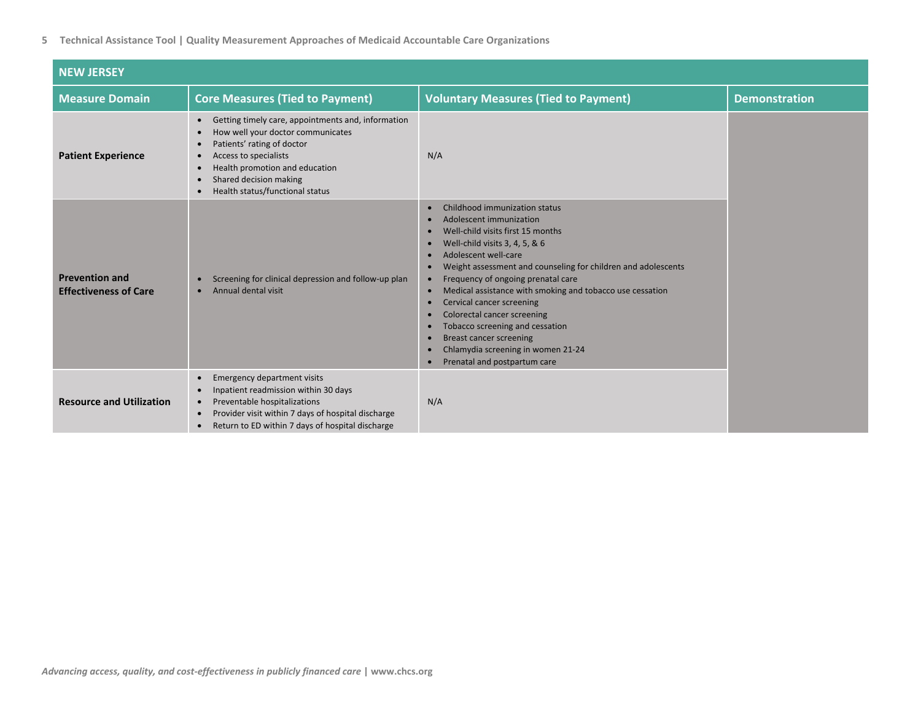| <b>NEW JERSEY</b>                                     |                                                                                                                                                                                                                                                                                                                                          |                                                                                                                                                                                                                                                                                                                                                                                                                                                                                                                                                                                                                                                                                                                          |                      |
|-------------------------------------------------------|------------------------------------------------------------------------------------------------------------------------------------------------------------------------------------------------------------------------------------------------------------------------------------------------------------------------------------------|--------------------------------------------------------------------------------------------------------------------------------------------------------------------------------------------------------------------------------------------------------------------------------------------------------------------------------------------------------------------------------------------------------------------------------------------------------------------------------------------------------------------------------------------------------------------------------------------------------------------------------------------------------------------------------------------------------------------------|----------------------|
| <b>Measure Domain</b>                                 | <b>Core Measures (Tied to Payment)</b>                                                                                                                                                                                                                                                                                                   | <b>Voluntary Measures (Tied to Payment)</b>                                                                                                                                                                                                                                                                                                                                                                                                                                                                                                                                                                                                                                                                              | <b>Demonstration</b> |
| <b>Patient Experience</b>                             | Getting timely care, appointments and, information<br>$\bullet$<br>How well your doctor communicates<br>$\bullet$<br>Patients' rating of doctor<br>$\bullet$<br>Access to specialists<br>$\bullet$<br>Health promotion and education<br>$\bullet$<br>Shared decision making<br>$\bullet$<br>Health status/functional status<br>$\bullet$ | N/A                                                                                                                                                                                                                                                                                                                                                                                                                                                                                                                                                                                                                                                                                                                      |                      |
| <b>Prevention and</b><br><b>Effectiveness of Care</b> | Screening for clinical depression and follow-up plan<br>$\bullet$<br>Annual dental visit                                                                                                                                                                                                                                                 | Childhood immunization status<br>$\bullet$<br>Adolescent immunization<br>$\bullet$<br>Well-child visits first 15 months<br>$\bullet$<br>Well-child visits 3, 4, 5, & 6<br>$\bullet$<br>Adolescent well-care<br>$\bullet$<br>Weight assessment and counseling for children and adolescents<br>$\bullet$<br>Frequency of ongoing prenatal care<br>$\bullet$<br>Medical assistance with smoking and tobacco use cessation<br>$\bullet$<br>Cervical cancer screening<br>$\bullet$<br>Colorectal cancer screening<br>$\bullet$<br>Tobacco screening and cessation<br>$\bullet$<br><b>Breast cancer screening</b><br>$\bullet$<br>Chlamydia screening in women 21-24<br>$\bullet$<br>Prenatal and postpartum care<br>$\bullet$ |                      |
| <b>Resource and Utilization</b>                       | <b>Emergency department visits</b><br>$\bullet$<br>Inpatient readmission within 30 days<br>$\bullet$<br>Preventable hospitalizations<br>$\bullet$<br>Provider visit within 7 days of hospital discharge<br>$\bullet$<br>Return to ED within 7 days of hospital discharge<br>$\bullet$                                                    | N/A                                                                                                                                                                                                                                                                                                                                                                                                                                                                                                                                                                                                                                                                                                                      |                      |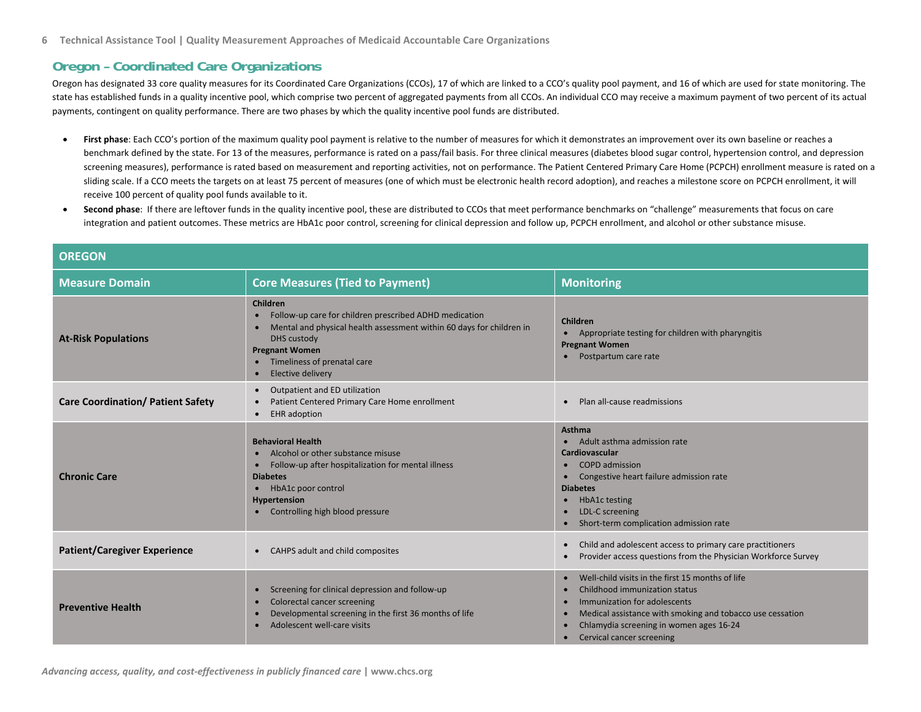### **Oregon – Coordinated Care Organizations**

Oregon has designated 33 core quality measures for its Coordinated Care Organizations (CCOs), 17 of which are linked to <sup>a</sup> CCO's quality pool payment, and 16 of which are used for state monitoring. The state has established funds in a quality incentive pool, which comprise two percent of aggregated payments from all CCOs. An individual CCO may receive a maximum payment of two percent of its actual payments, contingent on quality performance. There are two phases by which the quality incentive pool funds are distributed.

- $\bullet$ First phase: Each CCO's portion of the maximum quality pool payment is relative to the number of measures for which it demonstrates an improvement over its own baseline or reaches a benchmark defined by the state. For 13 of the measures, performance is rated on a pass/fail basis. For three clinical measures (diabetes blood sugar control, hypertension control, and depression screening measures), performance is rated based on measurement and reporting activities, not on performance. The Patient Centered Primary Care Home (PCPCH) enrollment measure is rated on a sliding scale. If a CCO meets the targets on at least 75 percent of measures (one of which must be electronic health record adoption), and reaches a milestone score on PCPCH enrollment, it will receive 100 percent of quality pool funds available to it.
- . **Second phase**: If there are leftover funds in the quality incentive pool, these are distributed to CCOs that meet performance benchmarks on "challenge" measurements that focus on care integration and patient outcomes. These metrics are HbA1c poor control, screening for clinical depression and follow up, PCPCH enrollment, and alcohol or other substance misuse.

| <b>OREGON</b>                            |                                                                                                                                                                                                                                                              |                                                                                                                                                                                                                                                                                  |  |
|------------------------------------------|--------------------------------------------------------------------------------------------------------------------------------------------------------------------------------------------------------------------------------------------------------------|----------------------------------------------------------------------------------------------------------------------------------------------------------------------------------------------------------------------------------------------------------------------------------|--|
| <b>Measure Domain</b>                    | <b>Core Measures (Tied to Payment)</b>                                                                                                                                                                                                                       | <b>Monitoring</b>                                                                                                                                                                                                                                                                |  |
| <b>At-Risk Populations</b>               | Children<br>Follow-up care for children prescribed ADHD medication<br>Mental and physical health assessment within 60 days for children in<br><b>DHS</b> custody<br><b>Pregnant Women</b><br>• Timeliness of prenatal care<br>Elective delivery<br>$\bullet$ | Children<br>Appropriate testing for children with pharyngitis<br>$\bullet$<br><b>Pregnant Women</b><br>Postpartum care rate                                                                                                                                                      |  |
| <b>Care Coordination/ Patient Safety</b> | Outpatient and ED utilization<br>$\bullet$<br>Patient Centered Primary Care Home enrollment<br>$\bullet$<br><b>EHR</b> adoption<br>$\bullet$                                                                                                                 | Plan all-cause readmissions                                                                                                                                                                                                                                                      |  |
| <b>Chronic Care</b>                      | <b>Behavioral Health</b><br>Alcohol or other substance misuse<br>Follow-up after hospitalization for mental illness<br>$\bullet$<br><b>Diabetes</b><br>HbA1c poor control<br>$\bullet$<br>Hypertension<br>Controlling high blood pressure                    | <b>Asthma</b><br>Adult asthma admission rate<br>Cardiovascular<br><b>COPD</b> admission<br>Congestive heart failure admission rate<br><b>Diabetes</b><br><b>HbA1c testing</b><br>$\bullet$<br>LDL-C screening<br>Short-term complication admission rate                          |  |
| <b>Patient/Caregiver Experience</b>      | CAHPS adult and child composites<br>$\bullet$                                                                                                                                                                                                                | Child and adolescent access to primary care practitioners<br>$\bullet$<br>Provider access questions from the Physician Workforce Survey                                                                                                                                          |  |
| <b>Preventive Health</b>                 | Screening for clinical depression and follow-up<br>$\bullet$<br>Colorectal cancer screening<br>$\bullet$<br>Developmental screening in the first 36 months of life<br>$\bullet$<br>Adolescent well-care visits                                               | Well-child visits in the first 15 months of life<br>$\bullet$<br>Childhood immunization status<br>Immunization for adolescents<br>Medical assistance with smoking and tobacco use cessation<br>Chlamydia screening in women ages 16-24<br>Cervical cancer screening<br>$\bullet$ |  |

*Advancing access, quality, and cost‐effectiveness in publicly financed care* **| www.chcs.org**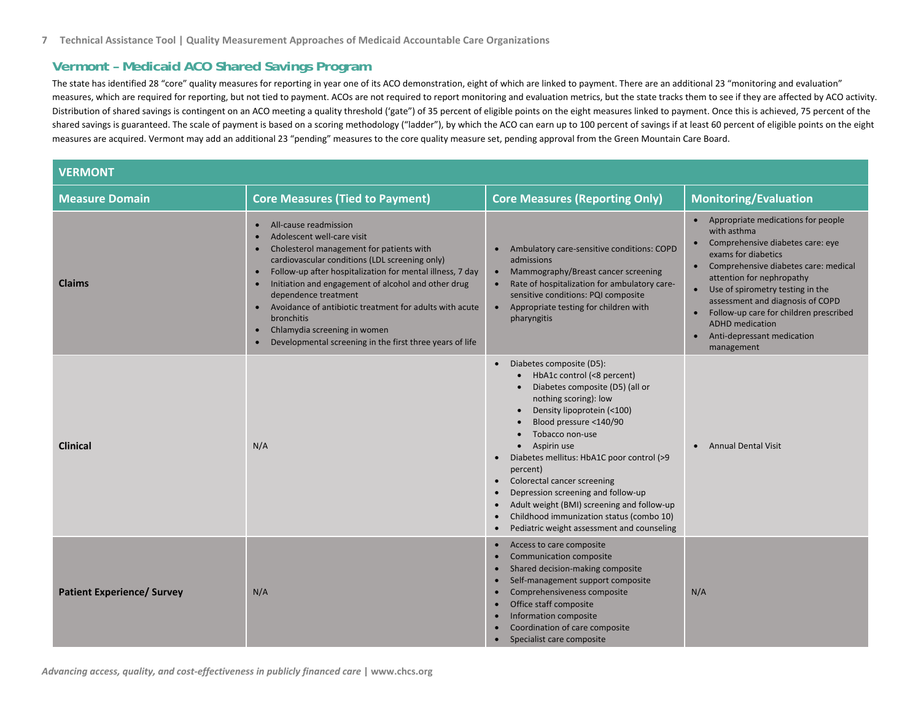#### **Vermont – Medicaid ACO Shared Savings Program**

The state has identified 28 "core" quality measures for reporting in year one of its ACO demonstration, eight of which are linked to payment. There are an additional 23 "monitoring and evaluation" measures, which are required for reporting, but not tied to payment. ACOs are not required to report monitoring and evaluation metrics, but the state tracks them to see if they are affected by ACO activity. Distribution of shared savings is contingent on an ACO meeting <sup>a</sup> quality threshold ('gate") of 35 percent of eligible points on the eight measures linked to payment. Once this is achieved, 75 percent of the shared savings is guaranteed. The scale of payment is based on <sup>a</sup> scoring methodology ("ladder"), by which the ACO can earn up to 100 percent of savings if at least 60 percent of eligible points on the eight measures are acquired. Vermont may add an additional 23 "pending" measures to the core quality measure set, pending approval from the Green Mountain Care Board.

| <b>VERMONT</b>                    |                                                                                                                                                                                                                                                                                                                                                                                                                                                                                                                                                         |                                                                                                                                                                                                                                                                                                                                                                                                                                                                                                              |                                                                                                                                                                                                                                                                                                                                                                                                                                              |
|-----------------------------------|---------------------------------------------------------------------------------------------------------------------------------------------------------------------------------------------------------------------------------------------------------------------------------------------------------------------------------------------------------------------------------------------------------------------------------------------------------------------------------------------------------------------------------------------------------|--------------------------------------------------------------------------------------------------------------------------------------------------------------------------------------------------------------------------------------------------------------------------------------------------------------------------------------------------------------------------------------------------------------------------------------------------------------------------------------------------------------|----------------------------------------------------------------------------------------------------------------------------------------------------------------------------------------------------------------------------------------------------------------------------------------------------------------------------------------------------------------------------------------------------------------------------------------------|
| <b>Measure Domain</b>             | <b>Core Measures (Tied to Payment)</b>                                                                                                                                                                                                                                                                                                                                                                                                                                                                                                                  | <b>Core Measures (Reporting Only)</b>                                                                                                                                                                                                                                                                                                                                                                                                                                                                        | <b>Monitoring/Evaluation</b>                                                                                                                                                                                                                                                                                                                                                                                                                 |
| <b>Claims</b>                     | All-cause readmission<br>$\bullet$<br>Adolescent well-care visit<br>Cholesterol management for patients with<br>$\bullet$<br>cardiovascular conditions (LDL screening only)<br>Follow-up after hospitalization for mental illness, 7 day<br>$\bullet$<br>Initiation and engagement of alcohol and other drug<br>$\bullet$<br>dependence treatment<br>Avoidance of antibiotic treatment for adults with acute<br>$\bullet$<br><b>bronchitis</b><br>Chlamydia screening in women<br>$\bullet$<br>Developmental screening in the first three years of life | Ambulatory care-sensitive conditions: COPD<br>admissions<br>Mammography/Breast cancer screening<br>$\bullet$<br>Rate of hospitalization for ambulatory care-<br>$\bullet$<br>sensitive conditions: PQI composite<br>• Appropriate testing for children with<br>pharyngitis                                                                                                                                                                                                                                   | • Appropriate medications for people<br>with asthma<br>Comprehensive diabetes care: eye<br>$\bullet$<br>exams for diabetics<br>Comprehensive diabetes care: medical<br>$\bullet$<br>attention for nephropathy<br>Use of spirometry testing in the<br>$\bullet$<br>assessment and diagnosis of COPD<br>Follow-up care for children prescribed<br>$\bullet$<br><b>ADHD</b> medication<br>Anti-depressant medication<br>$\bullet$<br>management |
| <b>Clinical</b>                   | N/A                                                                                                                                                                                                                                                                                                                                                                                                                                                                                                                                                     | Diabetes composite (D5):<br>HbA1c control (<8 percent)<br>Diabetes composite (D5) (all or<br>nothing scoring): low<br>Density lipoprotein (<100)<br>Blood pressure <140/90<br>Tobacco non-use<br>Aspirin use<br>Diabetes mellitus: HbA1C poor control (>9<br>percent)<br>Colorectal cancer screening<br>$\bullet$<br>Depression screening and follow-up<br>$\bullet$<br>Adult weight (BMI) screening and follow-up<br>Childhood immunization status (combo 10)<br>Pediatric weight assessment and counseling | <b>Annual Dental Visit</b><br>$\bullet$                                                                                                                                                                                                                                                                                                                                                                                                      |
| <b>Patient Experience/ Survey</b> | N/A                                                                                                                                                                                                                                                                                                                                                                                                                                                                                                                                                     | Access to care composite<br>Communication composite<br>$\bullet$<br>Shared decision-making composite<br>Self-management support composite<br>Comprehensiveness composite<br>Office staff composite<br>$\bullet$<br>Information composite<br>Coordination of care composite<br>Specialist care composite                                                                                                                                                                                                      | N/A                                                                                                                                                                                                                                                                                                                                                                                                                                          |

*Advancing access, quality, and cost‐effectiveness in publicly financed care* **| www.chcs.org**